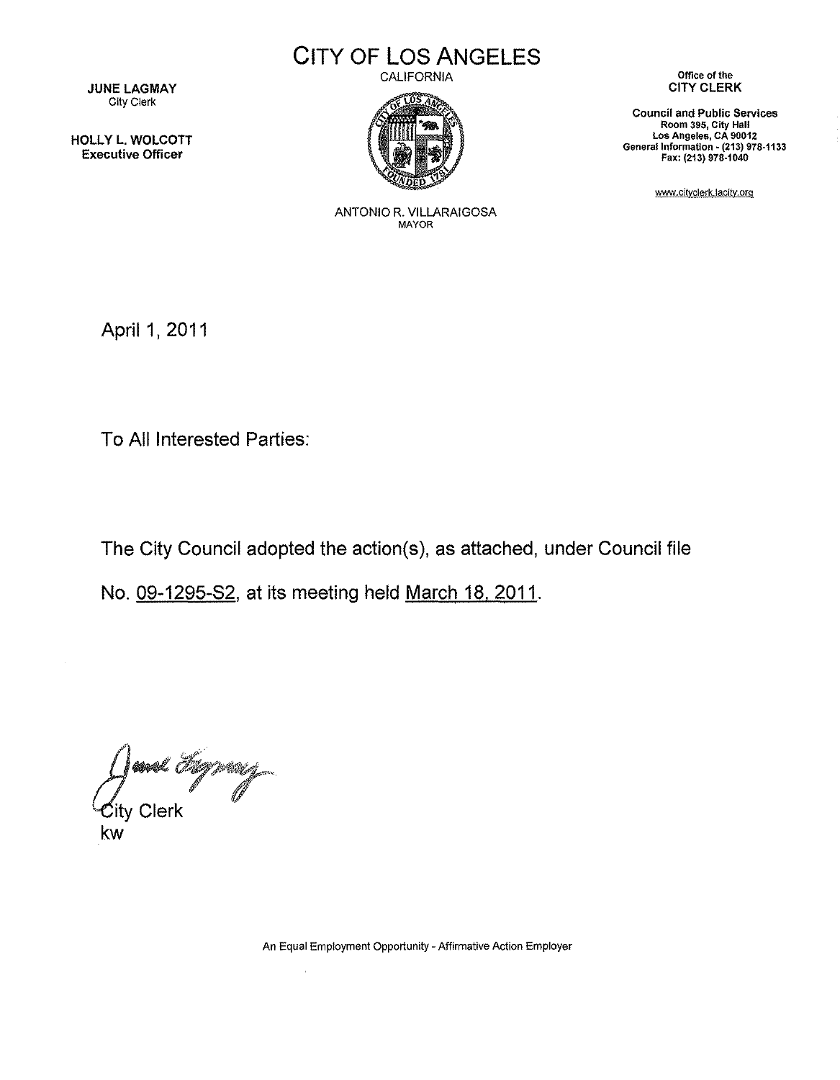**JUNE LAGMAY** City Clerk

HOllY l. WOLCOTT Executive Officer

**CITY OF LOS ANGELES**

CALIFORNIA



**Office** of the CITY CLERK

**Council and Public Services Room 395, City Hall Los Angeles, CA 90012** General Information • **(213) 978·1133** Fax: (213) 978·1040

www.cityclerk.lacity.orq

ANTONIO R. VILLARAIGOSA MAYOR

April 1, 2011

To All Interested Parties:

The City Council adopted the action(s), as attached, under Council file

No. 09-1295-82, at its meeting held March 18, 2011.

 $\mathcal{L}$ 

**\*\*** Hywry *Cd{ty* Clerk kw

**An Equal Employment Opportunity - Affirmative Action Employer**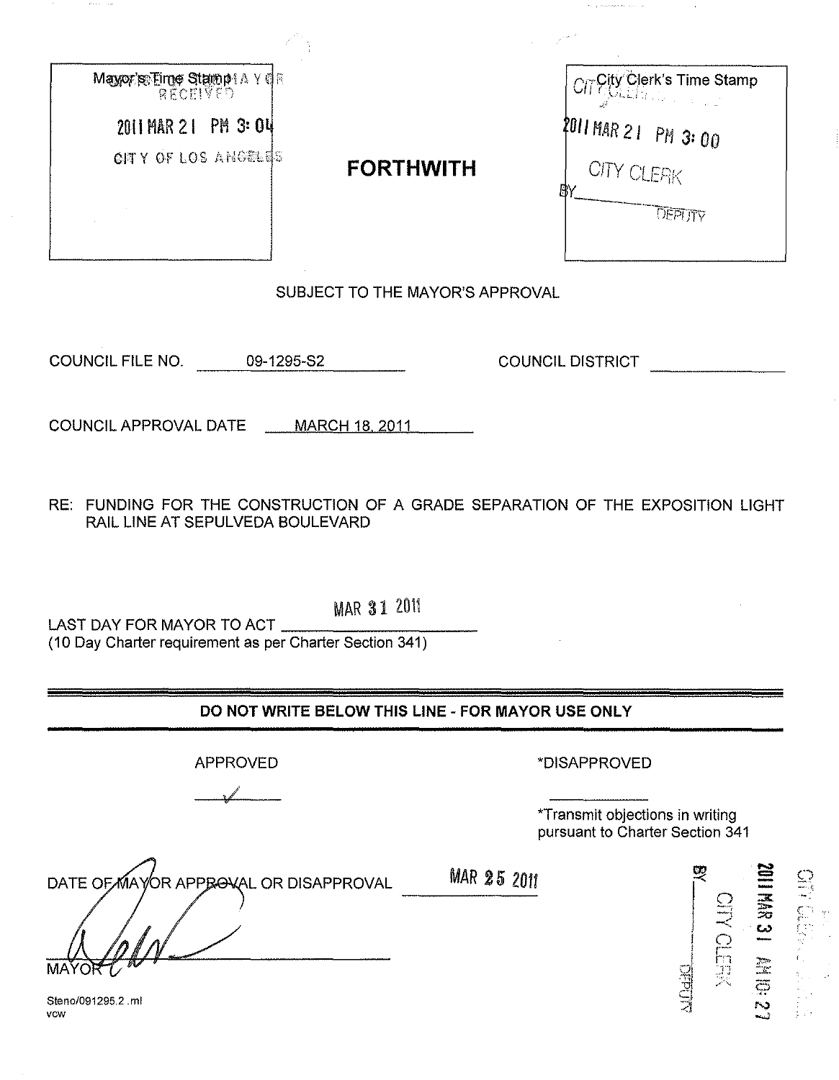| Mayor's Eime Stampt A Y CR |                  | <b>CITY Clerk's Time Stamp</b> |
|----------------------------|------------------|--------------------------------|
| 2011 MAR 21 PM 3: 04       |                  | $2011$ MAR 2 1 PM 3: 00        |
| <b>CITY OF LOS ANGELES</b> | <b>FORTHWITH</b> | <b>CITY CLEAK</b><br>В١        |
|                            |                  | DEPLITY                        |
|                            |                  |                                |

SUBJECT TO THE MAYOR'S APPROVAL

COUNCIL FILE NO. 09-1295-S2 COUNCIL DISTRICT

 $\frac{1}{2}$  . These there is a  $\alpha = 1$  ,  $\alpha = -\frac{1}{2}$  ,

COUNCIL APPROVAL DATE MARCH 18, 2011

RE: FUNDING FOR THE CONSTRUCTION OF A GRADE SEPARATION OF THE EXPOSITION LIGHT RAIL LINE AT SEPULVEDA BOULEVARD

LAST DAY FOR MAYOR TO ACT (10 Day Charter requirement as per Charter Section 341)

DO NOT WRITE BELOW THIS LINE - FOR MAYOR USE ONLY

**MAR 25 2011** 

APPROVED

,/ •

'DISAPPROVED

'Transmit objections in writing pursuant to Charter Section 341

DATE OF MAYOR APPROVAL OR DISAPPROVAL

Steno/091295.2.ml vow

 $\begin{array}{c}\n\mathbf{g} \\
\mathbf{g} \\
\mathbf{g} \\
\mathbf{g} \\
\mathbf{g} \\
\mathbf{g}\n\end{array}$ a in the set of  $\frac{1}{2}$  $\frac{1}{2}$ e)f  $\sum_{i=1}^{\infty}$ **AN 0: 21<br>1. EFK<br>TOPPOTR** <u>ो</u> ला

MAR 31 2011